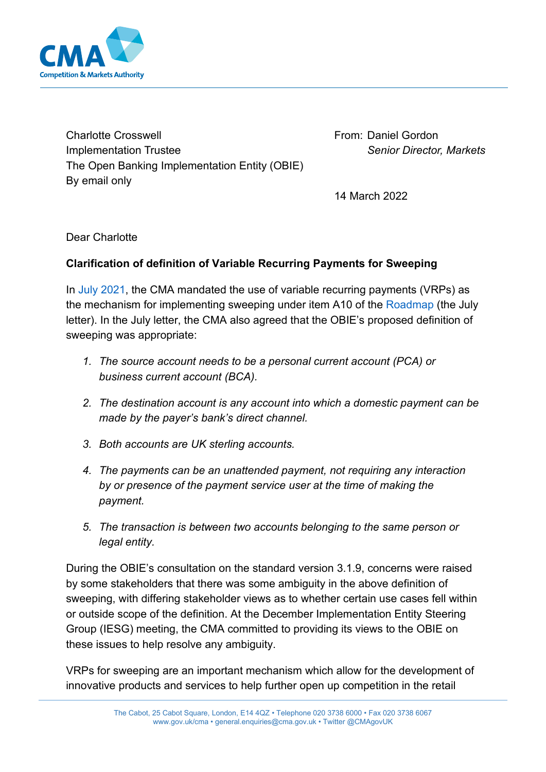

Charlotte Crosswell Implementation Trustee The Open Banking Implementation Entity (OBIE) By email only

From: Daniel Gordon *Senior Director, Markets*

14 March 2022

Dear Charlotte

## **Clarification of definition of Variable Recurring Payments for Sweeping**

In [July 2021,](https://assets.publishing.service.gov.uk/media/610029a8d3bf7f044ee52336/Letter_to_the_Open_Banking_Implementation_Entity.pdf) the CMA mandated the use of variable recurring payments (VRPs) as the mechanism for implementing sweeping under item A10 of the [Roadmap](https://assets.publishing.service.gov.uk/government/uploads/system/uploads/attachment_data/file/885537/Notice_of_proposed_changes_to_the_open_banking_roadmap_-_web_publication_-_cma_gov_uk_---_May_2020_-.pdf) (the July letter). In the July letter, the CMA also agreed that the OBIE's proposed definition of sweeping was appropriate:

- *1. The source account needs to be a personal current account (PCA) or business current account (BCA).*
- *2. The destination account is any account into which a domestic payment can be made by the payer's bank's direct channel.*
- *3. Both accounts are UK sterling accounts.*
- *4. The payments can be an unattended payment, not requiring any interaction by or presence of the payment service user at the time of making the payment.*
- *5. The transaction is between two accounts belonging to the same person or legal entity.*

During the OBIE's consultation on the standard version 3.1.9, concerns were raised by some stakeholders that there was some ambiguity in the above definition of sweeping, with differing stakeholder views as to whether certain use cases fell within or outside scope of the definition. At the December Implementation Entity Steering Group (IESG) meeting, the CMA committed to providing its views to the OBIE on these issues to help resolve any ambiguity.

VRPs for sweeping are an important mechanism which allow for the development of innovative products and services to help further open up competition in the retail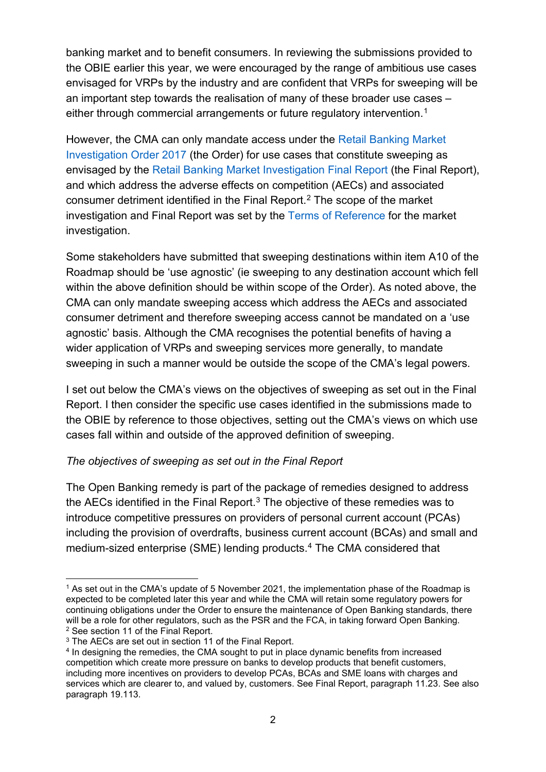banking market and to benefit consumers. In reviewing the submissions provided to the OBIE earlier this year, we were encouraged by the range of ambitious use cases envisaged for VRPs by the industry and are confident that VRPs for sweeping will be an important step towards the realisation of many of these broader use cases – either through commercial arrangements or future regulatory intervention.<sup>1</sup>

However, the CMA can only mandate access under the [Retail Banking Market](https://assets.publishing.service.gov.uk/government/uploads/system/uploads/attachment_data/file/600842/retail-banking-market-investigation-order-2017.pdf)  [Investigation Order 2017 \(](https://assets.publishing.service.gov.uk/government/uploads/system/uploads/attachment_data/file/600842/retail-banking-market-investigation-order-2017.pdf)the Order) for use cases that constitute sweeping as envisaged by the [Retail Banking Market Investigation Final Report](https://assets.publishing.service.gov.uk/media/57ac9667e5274a0f6c00007a/retail-banking-market-investigation-full-final-report.pdf) (the Final Report), and which address the adverse effects on competition (AECs) and associated consumer detriment identified in the Final Report. [2](#page-1-1) The scope of the market investigation and Final Report was set by the [Terms of Reference](https://assets.publishing.service.gov.uk/media/545a981c40f0b6130e000011/Terms_of_reference_retail_banking.pdf) for the market investigation.

Some stakeholders have submitted that sweeping destinations within item A10 of the Roadmap should be 'use agnostic' (ie sweeping to any destination account which fell within the above definition should be within scope of the Order). As noted above, the CMA can only mandate sweeping access which address the AECs and associated consumer detriment and therefore sweeping access cannot be mandated on a 'use agnostic' basis. Although the CMA recognises the potential benefits of having a wider application of VRPs and sweeping services more generally, to mandate sweeping in such a manner would be outside the scope of the CMA's legal powers.

I set out below the CMA's views on the objectives of sweeping as set out in the Final Report. I then consider the specific use cases identified in the submissions made to the OBIE by reference to those objectives, setting out the CMA's views on which use cases fall within and outside of the approved definition of sweeping.

## *The objectives of sweeping as set out in the Final Report*

The Open Banking remedy is part of the package of remedies designed to address the AECs identified in the Final Report. $3$  The objective of these remedies was to introduce competitive pressures on providers of personal current account (PCAs) including the provision of overdrafts, business current account (BCAs) and small and medium-sized enterprise (SME) lending products.[4](#page-1-3) The CMA considered that

<span id="page-1-0"></span><sup>1</sup> As set out in the CMA's update of 5 November 2021, the implementation phase of the Roadmap is expected to be completed later this year and while the CMA will retain some regulatory powers for continuing obligations under the Order to ensure the maintenance of Open Banking standards, there will be a role for other regulators, such as the PSR and the FCA, in taking forward Open Banking.<br><sup>2</sup> See section 11 of the Final Report.

<span id="page-1-2"></span><span id="page-1-1"></span> $3$  The AECs are set out in section 11 of the Final Report.

<span id="page-1-3"></span><sup>&</sup>lt;sup>4</sup> In designing the remedies, the CMA sought to put in place dynamic benefits from increased competition which create more pressure on banks to develop products that benefit customers, including more incentives on providers to develop PCAs, BCAs and SME loans with charges and services which are clearer to, and valued by, customers. See Final Report, paragraph 11.23. See also paragraph 19.113.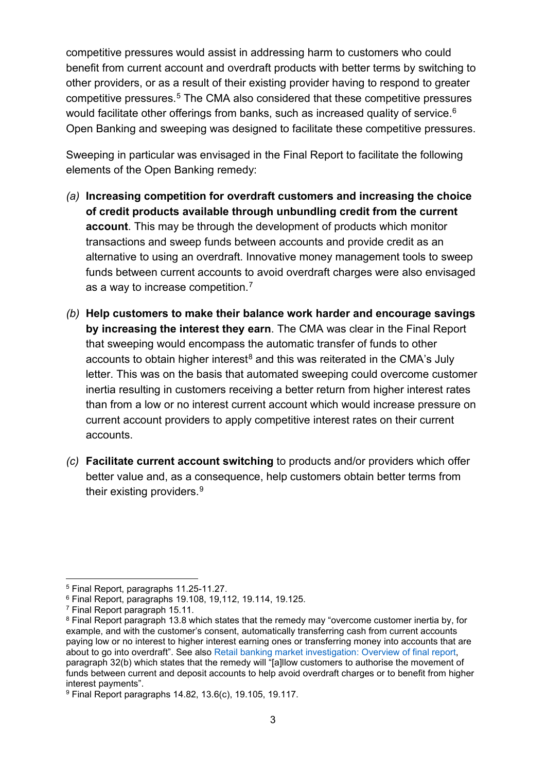competitive pressures would assist in addressing harm to customers who could benefit from current account and overdraft products with better terms by switching to other providers, or as a result of their existing provider having to respond to greater competitive pressures. [5](#page-2-0) The CMA also considered that these competitive pressures would facilitate other offerings from banks, such as increased quality of service.<sup>6</sup> Open Banking and sweeping was designed to facilitate these competitive pressures.

Sweeping in particular was envisaged in the Final Report to facilitate the following elements of the Open Banking remedy:

- *(a)* **Increasing competition for overdraft customers and increasing the choice of credit products available through unbundling credit from the current account**. This may be through the development of products which monitor transactions and sweep funds between accounts and provide credit as an alternative to using an overdraft. Innovative money management tools to sweep funds between current accounts to avoid overdraft charges were also envisaged as a way to increase competition. $^7$  $^7$
- *(b)* **Help customers to make their balance work harder and encourage savings by increasing the interest they earn**. The CMA was clear in the Final Report that sweeping would encompass the automatic transfer of funds to other accounts to obtain higher interest<sup>[8](#page-2-3)</sup> and this was reiterated in the CMA's July letter. This was on the basis that automated sweeping could overcome customer inertia resulting in customers receiving a better return from higher interest rates than from a low or no interest current account which would increase pressure on current account providers to apply competitive interest rates on their current accounts.
- *(c)* **Facilitate current account switching** to products and/or providers which offer better value and, as a consequence, help customers obtain better terms from their existing providers. $^9$  $^9$

<span id="page-2-1"></span><span id="page-2-0"></span> $^5$  Final Report, paragraphs 11.25-11.27.<br> $^6$  Final Report, paragraphs 19.108, 19.112, 19.114, 19.125.

<span id="page-2-3"></span><span id="page-2-2"></span><sup>&</sup>lt;sup>7</sup> Final Report paragraph 15.11.<br><sup>8</sup> Final Report paragraph 13.8 which states that the remedy may "overcome customer inertia by, for example, and with the customer's consent, automatically transferring cash from current accounts paying low or no interest to higher interest earning ones or transferring money into accounts that are about to go into overdraft". See also [Retail banking market investigation: Overview of final report,](https://assets.publishing.service.gov.uk/government/uploads/system/uploads/attachment_data/file/544942/overview-of-the-banking-retail-market.pdf) paragraph 32(b) which states that the remedy will "[a]llow customers to authorise the movement of funds between current and deposit accounts to help avoid overdraft charges or to benefit from higher interest payments".

<span id="page-2-4"></span><sup>9</sup> Final Report paragraphs 14.82, 13.6(c), 19.105, 19.117.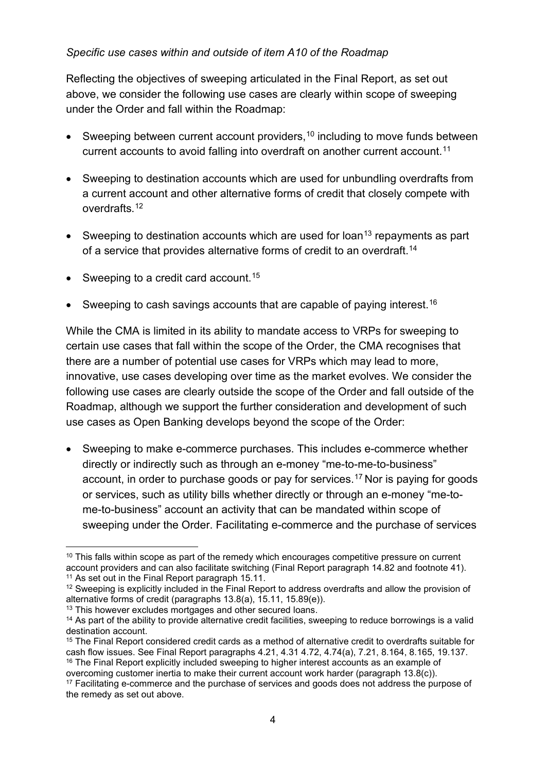## *Specific use cases within and outside of item A10 of the Roadmap*

Reflecting the objectives of sweeping articulated in the Final Report, as set out above, we consider the following use cases are clearly within scope of sweeping under the Order and fall within the Roadmap:

- Sweeping between current account providers,<sup>10</sup> including to move funds between current accounts to avoid falling into overdraft on another current account.<sup>11</sup>
- Sweeping to destination accounts which are used for unbundling overdrafts from a current account and other alternative forms of credit that closely compete with overdrafts<sup>[12](#page-3-2)</sup>
- Sweeping to destination accounts which are used for loan<sup>[13](#page-3-3)</sup> repayments as part of a service that provides alternative forms of credit to an overdraft.<sup>[14](#page-3-4)</sup>
- Sweeping to a credit card account.<sup>[15](#page-3-5)</sup>
- Sweeping to cash savings accounts that are capable of paying interest.<sup>16</sup>

While the CMA is limited in its ability to mandate access to VRPs for sweeping to certain use cases that fall within the scope of the Order, the CMA recognises that there are a number of potential use cases for VRPs which may lead to more, innovative, use cases developing over time as the market evolves. We consider the following use cases are clearly outside the scope of the Order and fall outside of the Roadmap, although we support the further consideration and development of such use cases as Open Banking develops beyond the scope of the Order:

• Sweeping to make e-commerce purchases. This includes e-commerce whether directly or indirectly such as through an e-money "me-to-me-to-business" account, in order to purchase goods or pay for services.[17](#page-3-7) Nor is paying for goods or services, such as utility bills whether directly or through an e-money "me-tome-to-business" account an activity that can be mandated within scope of sweeping under the Order. Facilitating e-commerce and the purchase of services

<span id="page-3-6"></span>

<span id="page-3-0"></span> $10$  This falls within scope as part of the remedy which encourages competitive pressure on current account providers and can also facilitate switching (Final Report paragraph 14.82 and footnote 41).<br><sup>11</sup> As set out in the Final Report paragraph 15.11.

<span id="page-3-2"></span><span id="page-3-1"></span><sup>&</sup>lt;sup>12</sup> Sweeping is explicitly included in the Final Report to address overdrafts and allow the provision of alternative forms of credit (paragraphs 13.8(a), 15.11. 15.89(e)).

<span id="page-3-4"></span><span id="page-3-3"></span> $^{13}$  This however excludes mortgages and other secured loans.<br> $^{14}$  As part of the ability to provide alternative credit facilities, sweeping to reduce borrowings is a valid destination account.

<span id="page-3-5"></span> $15$  The Final Report considered credit cards as a method of alternative credit to overdrafts suitable for cash flow issues. See Final Report paragraphs 4.21, 4.31 4.72, 4.74(a), 7.21, 8.164, 8.165, 19.137. <sup>16</sup> The Final Report explicitly included sweeping to higher interest accounts as an example of overcoming customer inertia to make their current account work harder (paragraph 13.8(c)).

<span id="page-3-7"></span><sup>&</sup>lt;sup>17</sup> Facilitating e-commerce and the purchase of services and goods does not address the purpose of the remedy as set out above.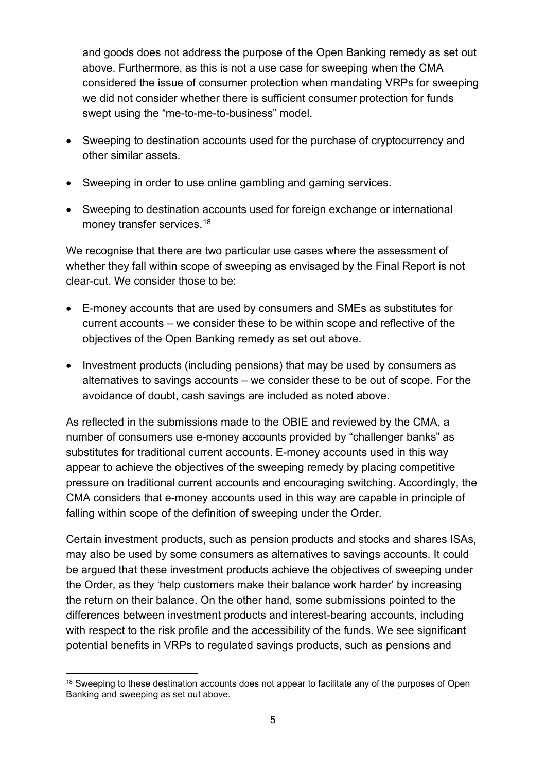and goods does not address the purpose of the Open Banking remedy as set out above. Furthermore, as this is not a use case for sweeping when the CMA considered the issue of consumer protection when mandating VRPs for sweeping we did not consider whether there is sufficient consumer protection for funds swept using the "me-to-me-to-business" model.

- Sweeping to destination accounts used for the purchase of cryptocurrency and other similar assets.
- Sweeping in order to use online gambling and gaming services.
- Sweeping to destination accounts used for foreign exchange or international money transfer services.<sup>[18](#page-4-0)</sup>

We recognise that there are two particular use cases where the assessment of whether they fall within scope of sweeping as envisaged by the Final Report is not clear-cut. We consider those to be:

- E-money accounts that are used by consumers and SMEs as substitutes for current accounts – we consider these to be within scope and reflective of the objectives of the Open Banking remedy as set out above.
- Investment products (including pensions) that may be used by consumers as alternatives to savings accounts – we consider these to be out of scope. For the avoidance of doubt, cash savings are included as noted above.

As reflected in the submissions made to the OBIE and reviewed by the CMA, a number of consumers use e-money accounts provided by "challenger banks" as substitutes for traditional current accounts. E-money accounts used in this way appear to achieve the objectives of the sweeping remedy by placing competitive pressure on traditional current accounts and encouraging switching. Accordingly, the CMA considers that e-money accounts used in this way are capable in principle of falling within scope of the definition of sweeping under the Order.

Certain investment products, such as pension products and stocks and shares ISAs, may also be used by some consumers as alternatives to savings accounts. It could be argued that these investment products achieve the objectives of sweeping under the Order, as they 'help customers make their balance work harder' by increasing the return on their balance. On the other hand, some submissions pointed to the differences between investment products and interest-bearing accounts, including with respect to the risk profile and the accessibility of the funds. We see significant potential benefits in VRPs to regulated savings products, such as pensions and

<span id="page-4-0"></span><sup>&</sup>lt;sup>18</sup> Sweeping to these destination accounts does not appear to facilitate any of the purposes of Open Banking and sweeping as set out above.